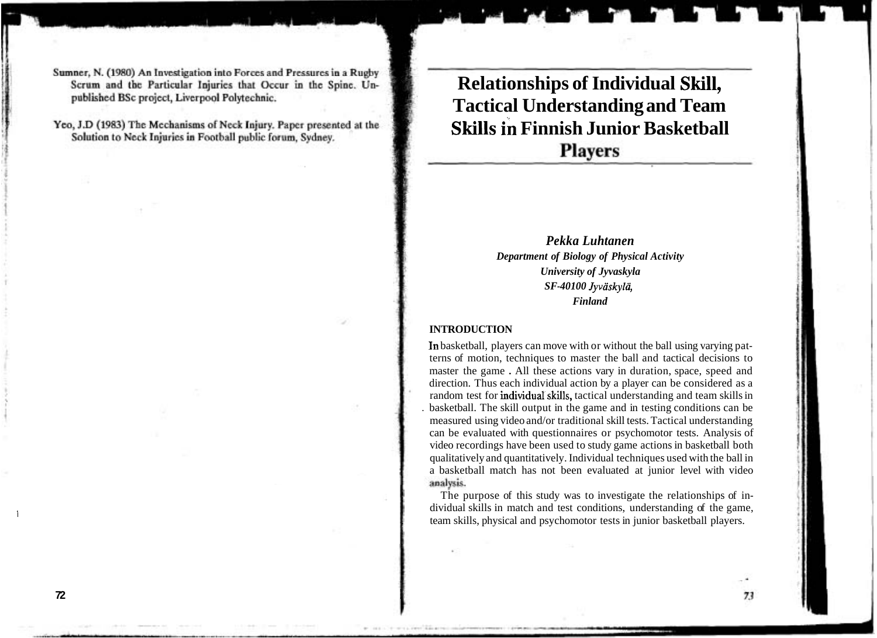# **Relationships of Individual Skill, Tactical Understanding and Team Skills in Finnish Junior Basketball Players**

## *Pekka Luhtanen Department of Biology of Physical Activity University of Jyvaskyla SF-40100 Jyvaskyld, Finland*

#### **INTRODUCTION**

In basketball, players can move with or without the ball using varying patterns of motion, techniques to master the ball and tactical decisions to master the game . All these actions vary in duration, space, speed and direction. Thus each individual action by a player can be considered as a random test for individual skills, tactical understanding and team skills in . basketball. The skill output in the game and in testing conditions can be measured using video and/or traditional skill tests. Tactical understanding can be evaluated with questionnaires or psychomotor tests. Analysis of video recordings have been used to study game actions in basketball both qualitatively and quantitatively. Individual techniques used with the ball in a basketball match has not been evaluated at junior level with video analysis.

The purpose of this study was to investigate the relationships of individual skills in match and test conditions, understanding of the game, team skills, physical and psychomotor tests in junior basketball players.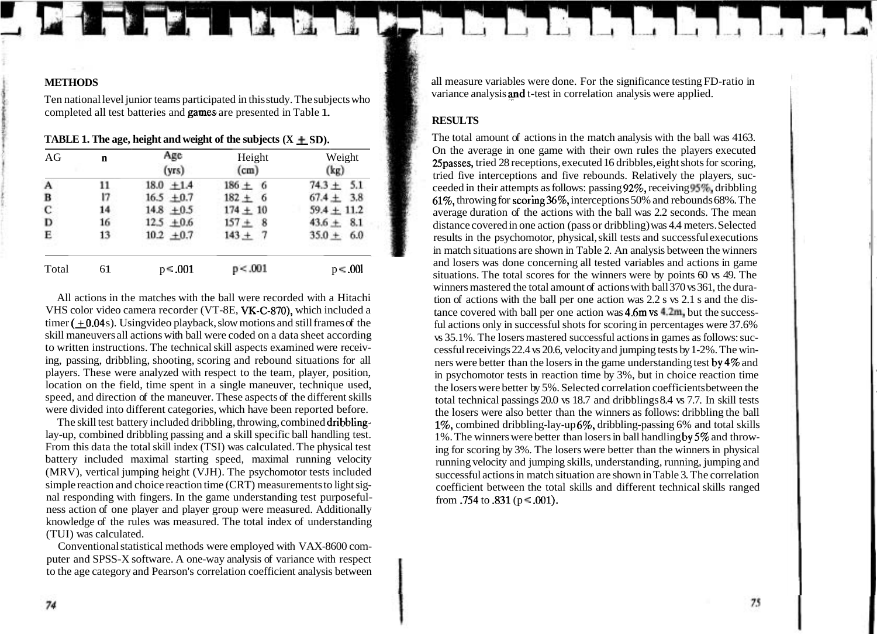### **METHODS**

Ten national level junior teams participated in this study. The subjects who completed all test batteries and games are presented in Table 1.

| AG    | n  | Age<br>(vrs)   | Height<br>(cm) | Weight<br>(kg)    |  |
|-------|----|----------------|----------------|-------------------|--|
| A     | 11 | $18.0 \pm 1.4$ | $186 \pm 6$    | 5.1<br>$74.3 \pm$ |  |
| в     | 17 | $16.5 + 0.7$   | $182 + 6$      | $67.4 \pm 3.8$    |  |
| C     | 14 | $14.8 + 0.5$   | $174 + 10$     | $59.4 \pm 11.2$   |  |
| D     | 16 | $12.5 + 0.6$   | $157 +$<br>8   | $43.6 +$<br>8.1   |  |
| Е     | 13 | $10.2 \pm 0.7$ | $143 +$        | $35.0 +$<br>6.0   |  |
| Total | 61 | $p = .001$     | p < .001       | $p \leq .001$     |  |

All actions in the matches with the ball were recorded with a Hitachi VHS color video camera recorder (VT-8E, VK-C-870), which included a timer  $(+0.04 s)$ . Usingvideo playback, slow motions and still frames of the skill maneuvers all actions with ball were coded on a data sheet according to written instructions. The technical skill aspects examined were receiving, passing, dribbling, shooting, scoring and rebound situations for all players. These were analyzed with respect to the team, player, position, location on the field, time spent in a single maneuver, technique used, speed, and direction of the maneuver. These aspects of the different skills were divided into different categories, which have been reported before.

The skill test battery included dribbling, throwing, combined dribblinglay-up, combined dribbling passing and a skill specific ball handling test. From this data the total skill index (TSI) was calculated. The physical test battery included maximal starting speed, maximal running velocity (MRV), vertical jumping height (VJH). The psychomotor tests included simple reaction and choice reaction time (CRT) measurements to light signal responding with fingers. In the game understanding test purposefulness action of one player and player group were measured. Additionally knowledge of the rules was measured. The total index of understanding (TUI) was calculated.

Conventional statistical methods were employed with VAX-8600 computer and SPSS-X software. A one-way analysis of variance with respect to the age category and Pearson's correlation coefficient analysis between

all measure variables were done. For the significance testing FD-ratio in variance analysis and t-test in correlation analysis were applied.

## **RESULTS**

The total amount of actions in the match analysis with the ball was 4163. On the average in one game with their own rules the players executed 25passes, tried 28 receptions, executed 16 dribbles, eight shots for scoring, tried five interceptions and five rebounds. Relatively the players, succeeded in their attempts as follows: passing  $92\%$ , receiving  $95\%$ , dribbling 61%, throwing for scoring36%, interceptions 50% and rebounds 68%. The average duration of the actions with the ball was 2.2 seconds. The mean distance covered in one action (pass or dribbling) was 4.4 meters. Selected results in the psychomotor, physical, skill tests and successful executions in match situations are shown in Table 2. An analysis between the winners and losers was done concerning all tested variables and actions in game situations. The total scores for the winners were by points 60 vs 49. The winners mastered the total amount of actions with ball 370 vs 361, the duration of actions with the ball per one action was 2.2 s vs 2.1 s and the distance covered with ball per one action was 4.6m vs 4.2m, but the successful actions only in successful shots for scoring in percentages were 37.6% vs 35.1%. The losers mastered successful actions in games as follows: successful receivings 22.4 vs 20.6, velocity and jumping tests by 1-2%. The winners were better than the losers in the game understanding test by4% and in psychomotor tests in reaction time by 3%, but in choice reaction time the losers were better by 5%. Selected correlation coefficients between the total technical passings 20.0 vs 18.7 and dribblings 8.4 vs 7.7. In skill tests the losers were also better than the winners as follows: dribbling the ball 1%, combined dribbling-lay-up 6%, dribbling-passing 6% and total skills 1%. The winners were better than losers in ball handling by5% and throwing for scoring by 3%. The losers were better than the winners in physical running velocity and jumping skills, understanding, running, jumping and successful actions in match situation are shown in Table 3. The correlation coefficient between the total skills and different technical skills ranged from .754 to .831 ( $p \le 0.001$ ).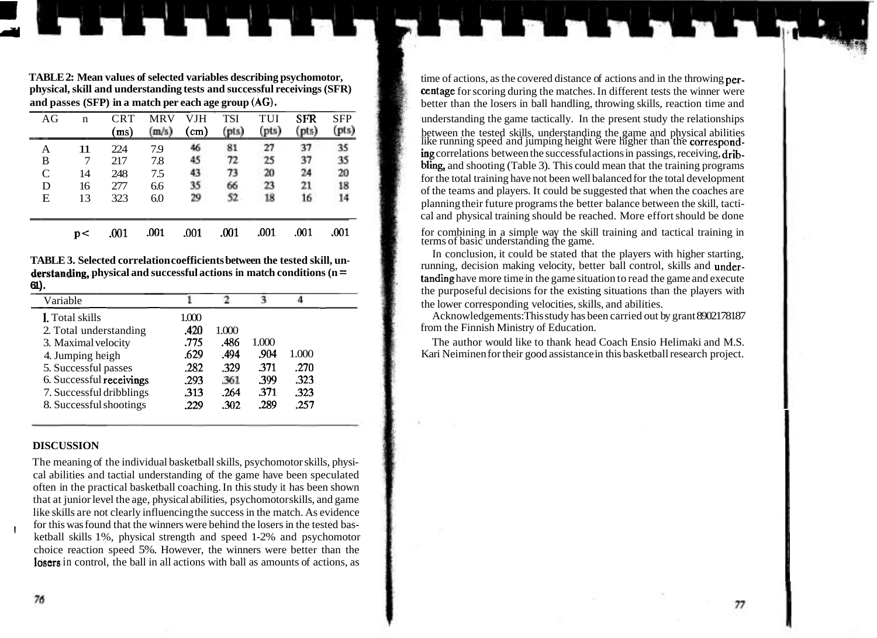**TABLE 2: Mean values of selected variables describing psychomotor,** time of actions, as the covered distance of actions and in the throwing **per-**<br>**physical, skill and understanding tests and successful receivings (SFR)**

| AG          | n  | <b>CRT</b><br>(ms) | <b>MRV</b><br>(m/s) | <b>VJH</b><br>(cm) | <b>TSI</b><br>(pts) | TUI<br>(pts) | <b>SFR</b><br>(pts) | <b>SFP</b><br>(pts) |
|-------------|----|--------------------|---------------------|--------------------|---------------------|--------------|---------------------|---------------------|
| Α           | 11 | 224                | 7.9                 | 46                 | 81                  | 27           | 37                  | $\overline{35}$     |
| B           | 7  | 217                | 7.8                 | 45                 | 72                  | 25           | 37                  | 35                  |
| $\mathbf C$ | 14 | 248                | 7.5                 | 43                 | 73                  | 20           | 24                  | 20                  |
| D           | 16 | 277                | 6.6                 | 35                 | 66                  | 23           | 21                  | 18                  |
| E           | 13 | 323                | 6.0                 | 29                 | 52                  | 18           | 16                  | 14                  |
|             | p< | .001               | .001                | .001               | .001                | .001         | .001                | .001                |

**derstanding, physical and successful actions in match conditions (n =** 

| Variable                 |       |       | З     | 4     |  |
|--------------------------|-------|-------|-------|-------|--|
| <b>1.</b> Total skills   | 1.000 |       |       |       |  |
| 2. Total understanding   | .420  | 1.000 |       |       |  |
| 3. Maximal velocity      | .775  | .486  | 1.000 |       |  |
| 4. Jumping heigh         | .629  | .494  | .904  | 1.000 |  |
| 5. Successful passes     | .282  | .329  | .371  | .270  |  |
| 6. Successful receivings | .293  | .361  | .399  | .323  |  |
| 7. Successful dribblings | .313  | .264  | .371  | .323  |  |
| 8. Successful shootings  | .229  | .302  | .289  | .257  |  |

#### **DISCUSSION**

The meaning of the individual basketball skills, psychomotor skills, physical abilities and tactial understanding of the game have been speculated often in the practical basketball coaching. In this study it has been shown that at junior level the age, physical abilities, psychomotor skills, and game like skills are not clearly influencing the success in the match. As evidence for this was found that the winners were behind the losers in the tested basketball skills 1%, physical strength and speed 1-2% and psychomotor choice reaction speed 5%. However, the winners were better than the losers in control, the ball in all actions with ball as amounts of actions, as

**physical, skill and understanding tests and successful receivings (SFR) centage** for scoring during the matches. In different tests the winner were<br>better than the losers in hall handling throwing skills reaction time a better than the losers in ball handling, throwing skills, reaction time and understanding the game tactically. In the present study the relationships  $\frac{\text{(m/s)}{\text{(cm)}} \quad \text{(cm)} \quad \text{(pts)} \quad \text{(pts)} \quad \text{(pts)} \quad \text{(pts)} \quad \text{(pts)} \quad \text{(pts)} \quad \text{(pts)} \quad \text{(pts)} \quad \text{(pts)} \quad \text{(pts)} \quad \text{(pts)} \quad \text{(pts)} \quad \text{(pts)} \quad \text{(pts)} \quad \text{(pts)} \quad \text{(pts)} \quad \text{(pts)} \quad \text{(pts)} \quad \text{(pts)} \quad \text{(pts)} \quad \text{(pts)} \quad \text{(pts)} \quad \text{(pts)} \quad \text{(pts)} \quad \text{(pts)} \quad \text{(pts$  $\overline{B}$  7 217 7.8 45 72 25 37 35 **ing** correlations between the successful actions in passings, receiving, drib-<br>B 7 217 7.8 45 72 25 37 35 **bling**, and shooting (Table 3) This could mean that the training programs  $\begin{array}{ccc}\n\text{D} & 21 & 7.8 \\
\text{C} & 14 & 248 & 7.5\n\end{array}$  **13 20 24 20 14 20 14 20 14 20 14 20 14 20 14 20 14 20 14 20 14 20 14 20 14 20 14 20 14 20 14 20 14 20** for the total training have not been well balanced for the total development of the teams and players. It could be suggested that when the coaches are planning their future programs the better balance between the skill, tactical and physical training should be reached. More effort should be done

p< .001 .001 .001 .001 .001 .001 .001 for combining in a simple way the skill training and tactical training in terms of basic understanding the game.

**TABLE 3. Selected correlation coefficients between the tested skill, un-** In conclusion, it could be stated that the players with higher starting, running, decision making velocity, better ball control, skills and under**derstanding, physical and successful actions in match conditions**  $\mu$  **and**  $\mu$  **and the game situation to read the game and execute**  $\epsilon$ **.** the purposeful decisions for the existing situations than the players with the lower corresponding velocities, skills, and abilities.

> Acknowledgements: This study has been carried out by grant 8902178187 from the Finnish Ministry of Education.

> The author would like to thank head Coach Ensio Helimaki and M.S. Kari Neiminen for their good assistance in this basketball research project.